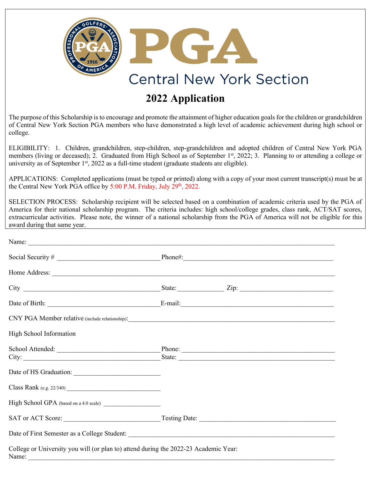

## **2022 Application**

The purpose of this Scholarship is to encourage and promote the attainment of higher education goals for the children or grandchildren of Central New York Section PGA members who have demonstrated a high level of academic achievement during high school or college.

ELIGIBILITY: 1. Children, grandchildren, step-children, step-grandchildren and adopted children of Central New York PGA members (living or deceased); 2. Graduated from High School as of September 1<sup>st</sup>, 2022; 3. Planning to or attending a college or university as of September  $1<sup>st</sup>$ , 2022 as a full-time student (graduate students are eligible).

APPLICATIONS: Completed applications (must be typed or printed) along with a copy of your most current transcript(s) must be at the Central New York PGA office by 5:00 P.M. Friday, July 29<sup>th</sup>, 2022.

SELECTION PROCESS: Scholarship recipient will be selected based on a combination of academic criteria used by the PGA of America for their national scholarship program. The criteria includes: high school/college grades, class rank, ACT/SAT scores, extracurricular activities. Please note, the winner of a national scholarship from the PGA of America will not be eligible for this award during that same year.

| High School Information                                                                       |                                                             |
|-----------------------------------------------------------------------------------------------|-------------------------------------------------------------|
|                                                                                               | School Attended: Phone: Phone: Phone: Phone: 2008<br>State: |
|                                                                                               |                                                             |
|                                                                                               |                                                             |
|                                                                                               |                                                             |
|                                                                                               |                                                             |
|                                                                                               |                                                             |
| College or University you will (or plan to) attend during the 2022-23 Academic Year:<br>Name: |                                                             |